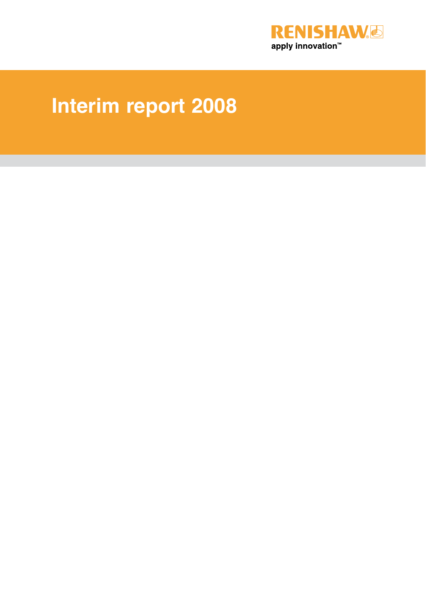

# **Interim report 2008**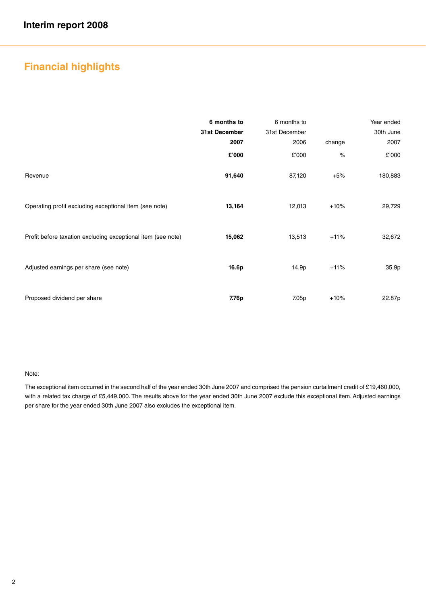## **Financial highlights**

|                                                              | 6 months to<br>31st December<br>2007 | 6 months to<br>31st December<br>2006 | change | Year ended<br>30th June<br>2007 |
|--------------------------------------------------------------|--------------------------------------|--------------------------------------|--------|---------------------------------|
|                                                              | £'000                                | £'000                                | $\%$   | £'000                           |
| Revenue                                                      | 91,640                               | 87,120                               | $+5%$  | 180,883                         |
| Operating profit excluding exceptional item (see note)       | 13,164                               | 12,013                               | $+10%$ | 29,729                          |
| Profit before taxation excluding exceptional item (see note) | 15,062                               | 13,513                               | $+11%$ | 32,672                          |
| Adjusted earnings per share (see note)                       | 16.6p                                | 14.9p                                | $+11%$ | 35.9p                           |
| Proposed dividend per share                                  | 7.76p                                | 7.05p                                | $+10%$ | 22.87p                          |

#### Note:

The exceptional item occurred in the second half of the year ended 30th June 2007 and comprised the pension curtailment credit of £19,460,000, with a related tax charge of £5,449,000. The results above for the year ended 30th June 2007 exclude this exceptional item. Adjusted earnings per share for the year ended 30th June 2007 also excludes the exceptional item.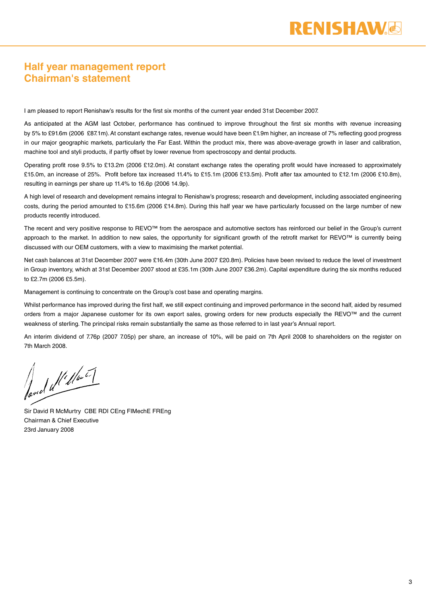### **Half year management report Chairman's statement**

I am pleased to report Renishaw's results for the first six months of the current year ended 31st December 2007.

As anticipated at the AGM last October, performance has continued to improve throughout the first six months with revenue increasing by 5% to £91.6m (2006 £87.1m). At constant exchange rates, revenue would have been £1.9m higher, an increase of 7% reflecting good progress in our major geographic markets, particularly the Far East. Within the product mix, there was above-average growth in laser and calibration, machine tool and styli products, if partly offset by lower revenue from spectroscopy and dental products.

Operating profit rose 9.5% to £13.2m (2006 £12.0m). At constant exchange rates the operating profit would have increased to approximately £15.0m, an increase of 25%. Profit before tax increased 11.4% to £15.1m (2006 £13.5m). Profit after tax amounted to £12.1m (2006 £10.8m), resulting in earnings per share up 11.4% to 16.6p (2006 14.9p).

A high level of research and development remains integral to Renishaw's progress; research and development, including associated engineering costs, during the period amounted to £15.6m (2006 £14.8m). During this half year we have particularly focussed on the large number of new products recently introduced.

The recent and very positive response to REVO™ from the aerospace and automotive sectors has reinforced our belief in the Group's current approach to the market. In addition to new sales, the opportunity for significant growth of the retrofit market for REVO™ is currently being discussed with our OEM customers, with a view to maximising the market potential.

Net cash balances at 31st December 2007 were £16.4m (30th June 2007 £20.8m). Policies have been revised to reduce the level of investment in Group inventory, which at 31st December 2007 stood at £35.1m (30th June 2007 £36.2m). Capital expenditure during the six months reduced to £2.7m (2006 £5.5m).

Management is continuing to concentrate on the Group's cost base and operating margins.

Whilst performance has improved during the first half, we still expect continuing and improved performance in the second half, aided by resumed orders from a major Japanese customer for its own export sales, growing orders for new products especially the REVO™ and the current weakness of sterling. The principal risks remain substantially the same as those referred to in last year's Annual report.

An interim dividend of 7.76p (2007 7.05p) per share, an increase of 10%, will be paid on 7th April 2008 to shareholders on the register on 7th March 2008.

fond d'Iller

Sir David R McMurtry CBE RDI CEng FIMechE FREng Chairman & Chief Executive 23rd January 2008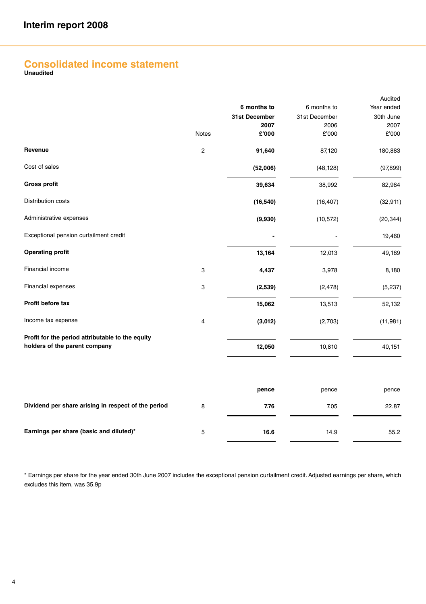## **Consolidated income statement Unaudited**

|                                                                                   |                | 6 months to   | 6 months to   | Audited<br>Year ended |
|-----------------------------------------------------------------------------------|----------------|---------------|---------------|-----------------------|
|                                                                                   |                | 31st December | 31st December | 30th June             |
|                                                                                   |                | 2007          | 2006          | 2007                  |
|                                                                                   | <b>Notes</b>   | £'000         | £'000         | £'000                 |
| Revenue                                                                           | $\overline{c}$ | 91,640        | 87,120        | 180,883               |
| Cost of sales                                                                     |                | (52,006)      | (48, 128)     | (97, 899)             |
| <b>Gross profit</b>                                                               |                | 39,634        | 38,992        | 82,984                |
| <b>Distribution costs</b>                                                         |                | (16, 540)     | (16, 407)     | (32, 911)             |
| Administrative expenses                                                           |                | (9,930)       | (10, 572)     | (20, 344)             |
| Exceptional pension curtailment credit                                            |                |               |               | 19,460                |
| <b>Operating profit</b>                                                           |                | 13,164        | 12,013        | 49,189                |
| Financial income                                                                  | 3              | 4,437         | 3,978         | 8,180                 |
| Financial expenses                                                                | 3              | (2,539)       | (2, 478)      | (5,237)               |
| Profit before tax                                                                 |                | 15,062        | 13,513        | 52,132                |
| Income tax expense                                                                | 4              | (3,012)       | (2,703)       | (11, 981)             |
| Profit for the period attributable to the equity<br>holders of the parent company |                |               |               |                       |
|                                                                                   |                | 12,050        | 10,810        | 40,151                |
|                                                                                   |                |               |               |                       |
|                                                                                   |                | pence         | pence         | pence                 |
| Dividend per share arising in respect of the period                               | 8              | 7.76          | 7.05          | 22.87                 |
|                                                                                   |                |               |               |                       |
| Earnings per share (basic and diluted)*                                           | 5              | 16.6          | 14.9          | 55.2                  |

\* Earnings per share for the year ended 30th June 2007 includes the exceptional pension curtailment credit. Adjusted earnings per share, which excludes this item, was 35.9p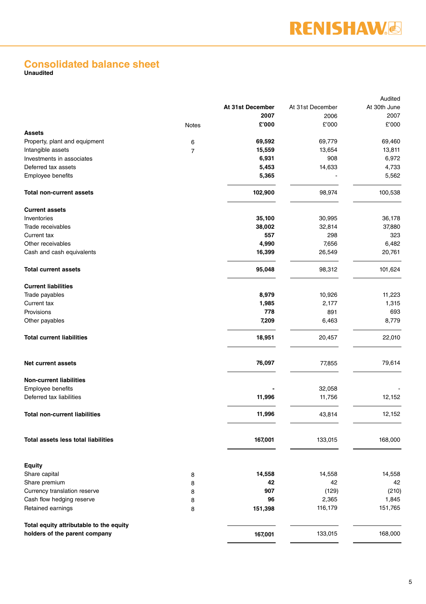## **Consolidated balance sheet Unaudited**

|                                         |        |                  |                  | Audited      |
|-----------------------------------------|--------|------------------|------------------|--------------|
|                                         |        | At 31st December | At 31st December | At 30th June |
|                                         |        | 2007             | 2006             | 2007         |
|                                         | Notes  | £'000            | £'000            | £'000        |
| <b>Assets</b>                           |        |                  |                  |              |
| Property, plant and equipment           | 6      | 69,592           | 69,779           | 69,460       |
| Intangible assets                       | 7      | 15,559           | 13,654           | 13,811       |
| Investments in associates               |        | 6,931            | 908              | 6,972        |
| Deferred tax assets                     |        | 5,453            | 14,633           | 4,733        |
| Employee benefits                       |        | 5,365            |                  | 5,562        |
| <b>Total non-current assets</b>         |        | 102,900          | 98,974           | 100,538      |
| <b>Current assets</b>                   |        |                  |                  |              |
| Inventories                             |        | 35,100           | 30,995           | 36,178       |
| Trade receivables                       |        | 38,002           | 32,814           | 37,880       |
| Current tax                             |        | 557              | 298              | 323          |
| Other receivables                       |        | 4,990            | 7,656            | 6,482        |
| Cash and cash equivalents               |        | 16,399           | 26,549           | 20,761       |
| <b>Total current assets</b>             |        | 95,048           | 98,312           | 101,624      |
| <b>Current liabilities</b>              |        |                  |                  |              |
| Trade payables                          |        | 8,979            | 10,926           | 11,223       |
| Current tax                             |        | 1,985            | 2,177            | 1,315        |
| Provisions                              |        | 778              | 891              | 693          |
| Other payables                          |        | 7,209            | 6,463            | 8,779        |
| <b>Total current liabilities</b>        |        | 18,951           | 20,457           | 22,010       |
| <b>Net current assets</b>               |        | 76,097           | 77,855           | 79,614       |
| <b>Non-current liabilities</b>          |        |                  |                  |              |
| Employee benefits                       |        |                  | 32,058           |              |
| Deferred tax liabilities                |        | 11,996           | 11,756           | 12,152       |
| <b>Total non-current liabilities</b>    |        | 11,996           | 43,814           | 12,152       |
| Total assets less total liabilities     |        | 167,001          | 133,015          | 168,000      |
|                                         |        |                  |                  |              |
| Equity<br>Share capital                 |        | 14,558           | 14,558           | 14,558       |
| Share premium                           | 8      | 42               | 42               | 42           |
| Currency translation reserve            | 8      | 907              | (129)            | (210)        |
| Cash flow hedging reserve               | 8      | 96               | 2,365            | 1,845        |
| Retained earnings                       | 8<br>8 | 151,398          | 116,179          | 151,765      |
| Total equity attributable to the equity |        |                  |                  |              |
| holders of the parent company           |        | 167,001          | 133,015          | 168,000      |
|                                         |        |                  |                  |              |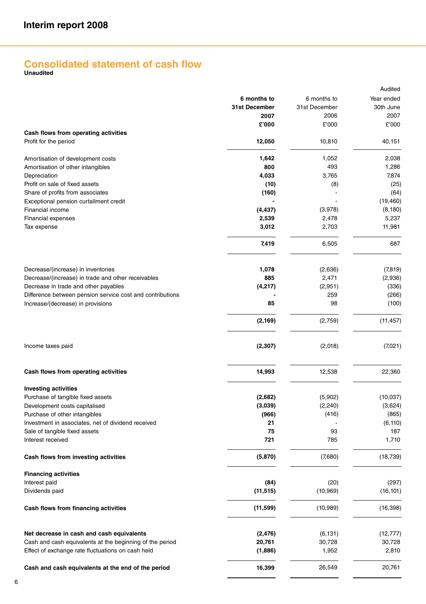## **Consolidated statement of cash flow Unaudited**

|                                                           |               |               | Audited    |
|-----------------------------------------------------------|---------------|---------------|------------|
|                                                           | 6 months to   | 6 months to   | Year ended |
|                                                           | 31st December | 31st December | 30th June  |
|                                                           | 2007          | 2006          | 2007       |
|                                                           | £'000         | £'000         | £'000      |
| Cash flows from operating activities                      |               |               |            |
| Profit for the period                                     | 12,050        | 10,810        | 40,151     |
| Amortisation of development costs                         | 1,642         | 1,052         | 2,038      |
| Amortisation of other intangibles                         | 800           | 493           | 1,286      |
| Depreciation                                              | 4,033         | 3,765         | 7,874      |
| Profit on sale of fixed assets                            | (10)          | (8)           | (25)       |
| Share of profits from associates                          | (160)         |               | (64)       |
| Exceptional pension curtailment credit                    |               |               | (19, 460)  |
| Financial income                                          | (4, 437)      | (3,978)       | (8, 180)   |
| Financial expenses                                        | 2,539         | 2,478         | 5,237      |
| Tax expense                                               | 3,012         | 2,703         | 11,981     |
|                                                           | 7,419         | 6,505         | 687        |
|                                                           |               |               |            |
| Decrease/(increase) in inventories                        | 1,078         | (2,636)       | (7,819)    |
| Decrease/(increase) in trade and other receivables        | 885           | 2,471         | (2,936)    |
| Decrease in trade and other payables                      | (4,217)       | (2,951)       | (336)      |
| Difference between pension service cost and contributions |               | 259           | (266)      |
| Increase/(decrease) in provisions                         | 85            | 98            | (100)      |
|                                                           | (2, 169)      | (2,759)       | (11, 457)  |
| Income taxes paid                                         | (2, 307)      | (2,018)       | (7,021)    |
| Cash flows from operating activities                      | 14,993        | 12,538        | 22,360     |
| <b>Investing activities</b>                               |               |               |            |
| Purchase of tangible fixed assets                         | (2,682)       | (5,902)       | (10,037)   |
| Development costs capitalised                             | (3,039)       | (2, 240)      | (3,624)    |
| Purchase of other intangibles                             | (966)         | (416)         | (865)      |
| Investment in associates, net of dividend received        | 21            |               | (6, 110)   |
| Sale of tangible fixed assets                             | 75            | 93            | 187        |
| Interest received                                         | 721           | 785           | 1,710      |
| Cash flows from investing activities                      | (5, 870)      | (7,680)       | (18, 739)  |
| <b>Financing activities</b>                               |               |               |            |
| Interest paid                                             | (84)          | (20)          | (297)      |
| Dividends paid                                            | (11, 515)     | (10, 969)     | (16, 101)  |
| Cash flows from financing activities                      | (11, 599)     | (10, 989)     | (16, 398)  |
| Net decrease in cash and cash equivalents                 | (2, 476)      | (6, 131)      | (12, 777)  |
| Cash and cash equivalents at the beginning of the period  | 20,761        | 30,728        | 30,728     |
| Effect of exchange rate fluctuations on cash held         | (1,886)       | 1,952         | 2,810      |
| Cash and cash equivalents at the end of the period        | 16,399        | 26,549        | 20,761     |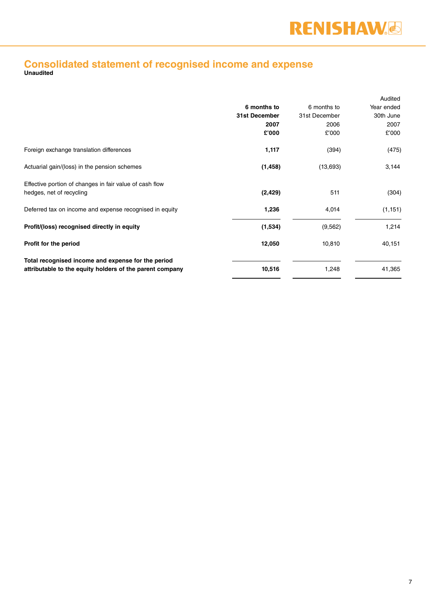## **Consolidated statement of recognised income and expense Unaudited**

|                                                          |               |               | Audited    |
|----------------------------------------------------------|---------------|---------------|------------|
|                                                          | 6 months to   | 6 months to   | Year ended |
|                                                          | 31st December | 31st December | 30th June  |
|                                                          | 2007          | 2006          | 2007       |
|                                                          | £'000         | £'000         | £'000      |
| Foreign exchange translation differences                 | 1,117         | (394)         | (475)      |
| Actuarial gain/(loss) in the pension schemes             | (1, 458)      | (13,693)      | 3,144      |
| Effective portion of changes in fair value of cash flow  |               |               |            |
| hedges, net of recycling                                 | (2, 429)      | 511           | (304)      |
| Deferred tax on income and expense recognised in equity  | 1,236         | 4,014         | (1, 151)   |
| Profit/(loss) recognised directly in equity              | (1,534)       | (9,562)       | 1,214      |
| Profit for the period                                    | 12,050        | 10,810        | 40,151     |
| Total recognised income and expense for the period       |               |               |            |
| attributable to the equity holders of the parent company | 10,516        | 1,248         | 41,365     |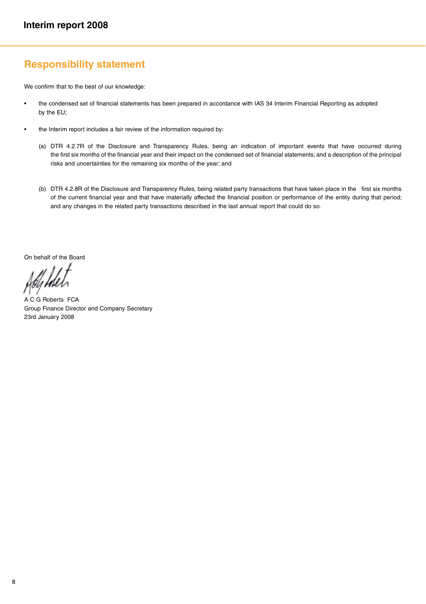### **Responsibility statement**

We confirm that to the best of our knowledge:

- the condensed set of financial statements has been prepared in accordance with IAS 34 Interim Financial Reporting as adopted by the EU;
- the Interim report includes a fair review of the information required by:
	- (a) DTR 4.2.7R of the Disclosure and Transparency Rules, being an indication of important events that have occurred during the first six months of the financial year and their impact on the condensed set of financial statements; and a description of the principal risks and uncertainties for the remaining six months of the year; and
	- (b) DTR 4.2.8R of the Disclosure and Transparency Rules, being related party transactions that have taken place in the first six months of the current financial year and that have materially affected the financial position or performance of the entity during that period; and any changes in the related party transactions described in the last annual report that could do so.

On behalf of the Board

A C G Roberts FCA Group Finance Director and Company Secretary 23rd January 2008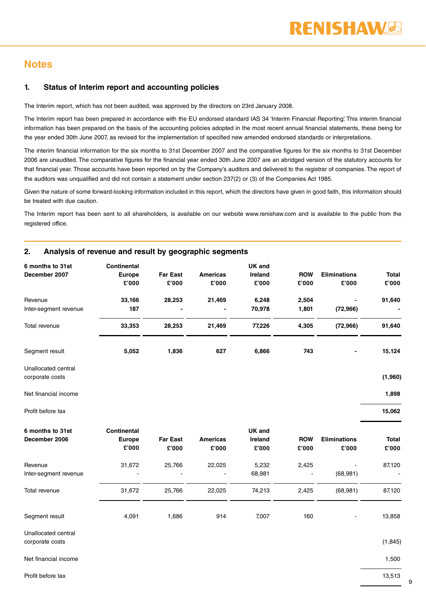### **Notes**

#### **1. Status of Interim report and accounting policies**

The Interim report, which has not been audited, was approved by the directors on 23rd January 2008.

The Interim report has been prepared in accordance with the EU endorsed standard IAS 34 'Interim Financial Reporting'. This interim financial information has been prepared on the basis of the accounting policies adopted in the most recent annual financial statements, these being for the year ended 30th June 2007, as revised for the implementation of specified new amended endorsed standards or interpretations.

The interim financial information for the six months to 31st December 2007 and the comparative figures for the six months to 31st December 2006 are unaudited. The comparative figures for the financial year ended 30th June 2007 are an abridged version of the statutory accounts for that financial year. Those accounts have been reported on by the Company's auditors and delivered to the registrar of companies. The report of the auditors was unqualified and did not contain a statement under section 237(2) or (3) of the Companies Act 1985.

Given the nature of some forward-looking information included in this report, which the directors have given in good faith, this information should be treated with due caution.

The Interim report has been sent to all shareholders, is available on our website www.renishaw.com and is available to the public from the registered office.

| 6 months to 31st<br>December 2007      | <b>Continental</b><br>Europe<br>£'000 | <b>Far East</b><br>£'000 | <b>Americas</b><br>£'000 | UK and<br>Ireland<br>£'000 | <b>ROW</b><br>£'000 | <b>Eliminations</b><br>£'000 | Total<br>£'000 |
|----------------------------------------|---------------------------------------|--------------------------|--------------------------|----------------------------|---------------------|------------------------------|----------------|
| Revenue<br>Inter-segment revenue       | 33,166<br>187                         | 28,253                   | 21,469                   | 6,248<br>70,978            | 2,504<br>1,801      | (72, 966)                    | 91,640         |
| Total revenue                          | 33,353                                | 28,253                   | 21,469                   | 77,226                     | 4,305               | (72, 966)                    | 91,640         |
| Segment result                         | 5,052                                 | 1,836                    | 627                      | 6,866                      | 743                 |                              | 15,124         |
| Unallocated central<br>corporate costs |                                       |                          |                          |                            |                     |                              | (1,960)        |
| Net financial income                   |                                       |                          |                          |                            |                     |                              | 1,898          |
| Profit before tax                      |                                       |                          |                          |                            |                     |                              | 15,062         |
| 6 months to 31st<br>December 2006      | Continental<br>Europe<br>£'000        | <b>Far East</b><br>£'000 | <b>Americas</b><br>£'000 | UK and<br>Ireland<br>£'000 | <b>ROW</b><br>£'000 | <b>Eliminations</b><br>£'000 | Total<br>£'000 |
| Revenue<br>Inter-segment revenue       | 31,672                                | 25,766                   | 22,025                   | 5,232<br>68,981            | 2,425               | (68, 981)                    | 87,120         |
| Total revenue                          | 31,672                                | 25,766                   | 22,025                   | 74,213                     | 2,425               | (68, 981)                    | 87,120         |
| Segment result                         | 4,091                                 | 1,686                    | 914                      | 7,007                      | 160                 |                              | 13,858         |
| Unallocated central<br>corporate costs |                                       |                          |                          |                            |                     |                              | (1, 845)       |

#### **2. Analysis of revenue and result by geographic segments**

Net financial income

Profit before tax

1,500

9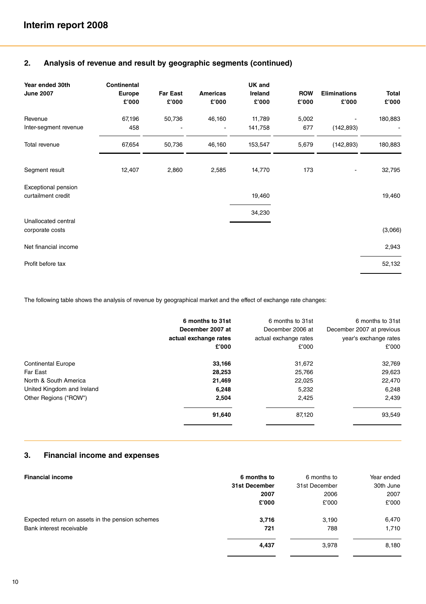| Year ended 30th<br><b>June 2007</b>              | Continental<br><b>Europe</b><br>£'000 | <b>Far East</b><br>£'000 | Americas<br>£'000 | UK and<br>Ireland<br>£'000 | <b>ROW</b><br>£'000 | <b>Eliminations</b><br>£'000 | Total<br>£'000 |
|--------------------------------------------------|---------------------------------------|--------------------------|-------------------|----------------------------|---------------------|------------------------------|----------------|
| Revenue<br>Inter-segment revenue                 | 67,196<br>458                         | 50,736                   | 46,160            | 11,789<br>141,758          | 5,002<br>677        | (142, 893)                   | 180,883        |
| Total revenue                                    | 67,654                                | 50,736                   | 46,160            | 153,547                    | 5,679               | (142, 893)                   | 180,883        |
| Segment result                                   | 12,407                                | 2,860                    | 2,585             | 14,770                     | 173                 |                              | 32,795         |
| <b>Exceptional pension</b><br>curtailment credit |                                       |                          |                   | 19,460                     |                     |                              | 19,460         |
| Unallocated central                              |                                       |                          |                   | 34,230                     |                     |                              |                |
| corporate costs                                  |                                       |                          |                   |                            |                     |                              | (3,066)        |
| Net financial income                             |                                       |                          |                   |                            |                     |                              | 2,943          |
| Profit before tax                                |                                       |                          |                   |                            |                     |                              | 52,132         |

#### **2. Analysis of revenue and result by geographic segments (continued)**

The following table shows the analysis of revenue by geographical market and the effect of exchange rate changes:

|                            | 6 months to 31st<br>December 2007 at<br>actual exchange rates | 6 months to 31st<br>December 2006 at<br>actual exchange rates | 6 months to 31st<br>December 2007 at previous<br>year's exchange rates |
|----------------------------|---------------------------------------------------------------|---------------------------------------------------------------|------------------------------------------------------------------------|
|                            | £'000                                                         | £'000                                                         | £'000                                                                  |
| <b>Continental Europe</b>  | 33,166                                                        | 31,672                                                        | 32,769                                                                 |
| Far East                   | 28,253                                                        | 25,766                                                        | 29,623                                                                 |
| North & South America      | 21,469                                                        | 22,025                                                        | 22,470                                                                 |
| United Kingdom and Ireland | 6,248                                                         | 5,232                                                         | 6,248                                                                  |
| Other Regions ("ROW")      | 2.504                                                         | 2,425                                                         | 2,439                                                                  |
|                            | 91,640                                                        | 87,120                                                        | 93,549                                                                 |
|                            |                                                               |                                                               |                                                                        |

#### **3. Financial income and expenses**

| <b>Financial income</b>                          | 6 months to   | 6 months to   | Year ended |
|--------------------------------------------------|---------------|---------------|------------|
|                                                  | 31st December | 31st December | 30th June  |
|                                                  | 2007          | 2006          | 2007       |
|                                                  | £'000         | £'000         | £'000      |
| Expected return on assets in the pension schemes | 3,716         | 3.190         | 6,470      |
| Bank interest receivable                         | 721           | 788           | 1,710      |
|                                                  | 4.437         | 3,978         | 8,180      |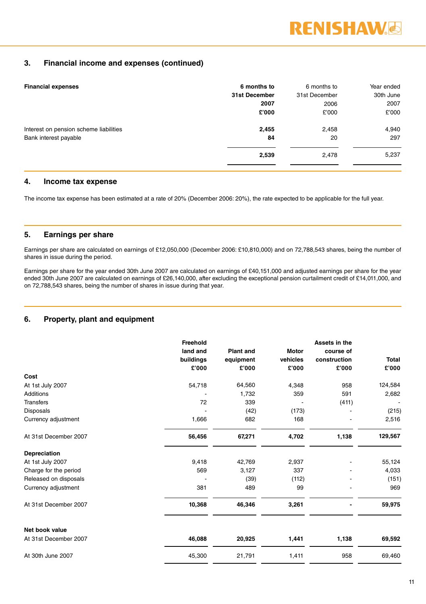#### **3. Financial income and expenses (continued)**

| <b>Financial expenses</b>              | 6 months to   | 6 months to   | Year ended |
|----------------------------------------|---------------|---------------|------------|
|                                        | 31st December | 31st December | 30th June  |
|                                        | 2007          | 2006          | 2007       |
|                                        | £'000         | £'000         | £'000      |
| Interest on pension scheme liabilities | 2,455         | 2,458         | 4,940      |
| Bank interest payable                  | 84            | 20            | 297        |
|                                        | 2,539         | 2,478         | 5,237      |
|                                        |               |               |            |

#### **4. Income tax expense**

The income tax expense has been estimated at a rate of 20% (December 2006: 20%), the rate expected to be applicable for the full year.

#### **5. Earnings per share**

Earnings per share are calculated on earnings of £12,050,000 (December 2006: £10,810,000) and on 72,788,543 shares, being the number of shares in issue during the period.

Earnings per share for the year ended 30th June 2007 are calculated on earnings of £40,151,000 and adjusted earnings per share for the year ended 30th June 2007 are calculated on earnings of £26,140,000, after excluding the exceptional pension curtailment credit of £14,011,000, and on 72,788,543 shares, being the number of shares in issue during that year.

#### **6. Property, plant and equipment**

|                       | Freehold<br>land and<br>buildings<br>£'000 | <b>Plant and</b><br>equipment<br>£'000 | <b>Motor</b><br>vehicles<br>£'000 | Assets in the<br>course of<br>construction<br>£'000 | <b>Total</b><br>£'000 |
|-----------------------|--------------------------------------------|----------------------------------------|-----------------------------------|-----------------------------------------------------|-----------------------|
| Cost                  |                                            |                                        |                                   |                                                     |                       |
| At 1st July 2007      | 54,718                                     | 64,560                                 | 4,348                             | 958                                                 | 124,584               |
| Additions             |                                            | 1,732                                  | 359                               | 591                                                 | 2,682                 |
| <b>Transfers</b>      | 72                                         | 339                                    |                                   | (411)                                               |                       |
| <b>Disposals</b>      |                                            | (42)                                   | (173)                             |                                                     | (215)                 |
| Currency adjustment   | 1,666                                      | 682                                    | 168                               |                                                     | 2,516                 |
| At 31st December 2007 | 56,456                                     | 67,271                                 | 4,702                             | 1,138                                               | 129,567               |
| Depreciation          |                                            |                                        |                                   |                                                     |                       |
| At 1st July 2007      | 9,418                                      | 42,769                                 | 2,937                             |                                                     | 55,124                |
| Charge for the period | 569                                        | 3,127                                  | 337                               |                                                     | 4,033                 |
| Released on disposals |                                            | (39)                                   | (112)                             |                                                     | (151)                 |
| Currency adjustment   | 381                                        | 489                                    | 99                                |                                                     | 969                   |
| At 31st December 2007 | 10,368                                     | 46,346                                 | 3,261                             |                                                     | 59,975                |
| Net book value        |                                            |                                        |                                   |                                                     |                       |
| At 31st December 2007 | 46,088                                     | 20,925                                 | 1,441                             | 1,138                                               | 69,592                |
| At 30th June 2007     | 45,300                                     | 21,791                                 | 1,411                             | 958                                                 | 69,460                |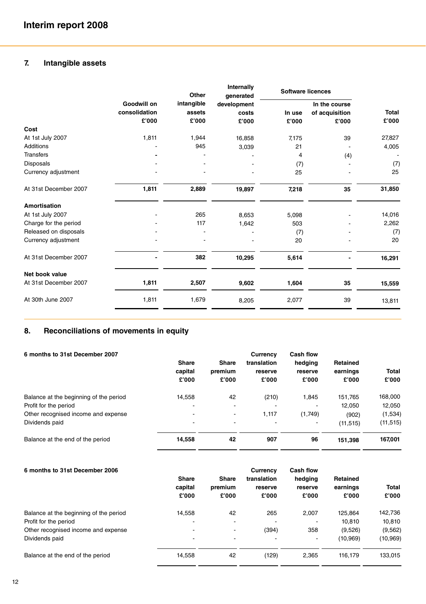### **7. Intangible assets**

|                       |               | Other      | Internally<br>generated | <b>Software licences</b> |                |              |
|-----------------------|---------------|------------|-------------------------|--------------------------|----------------|--------------|
|                       | Goodwill on   | intangible | development             |                          | In the course  |              |
|                       | consolidation | assets     | costs                   | In use                   | of acquisition | <b>Total</b> |
|                       | £'000         | £'000      | £'000                   | £'000                    | £'000          | £'000        |
| Cost                  |               |            |                         |                          |                |              |
| At 1st July 2007      | 1,811         | 1,944      | 16,858                  | 7,175                    | 39             | 27,827       |
| Additions             |               | 945        | 3,039                   | 21                       |                | 4,005        |
| <b>Transfers</b>      |               |            |                         | 4                        | (4)            |              |
| Disposals             |               |            |                         | (7)                      |                | (7)          |
| Currency adjustment   |               |            |                         | 25                       |                | 25           |
| At 31st December 2007 | 1,811         | 2,889      | 19,897                  | 7,218                    | 35             | 31,850       |
| Amortisation          |               |            |                         |                          |                |              |
| At 1st July 2007      |               | 265        | 8,653                   | 5,098                    |                | 14,016       |
| Charge for the period |               | 117        | 1,642                   | 503                      |                | 2,262        |
| Released on disposals |               |            |                         | (7)                      |                | (7)          |
| Currency adjustment   |               |            |                         | 20                       |                | 20           |
| At 31st December 2007 |               | 382        | 10,295                  | 5,614                    |                | 16,291       |
| Net book value        |               |            |                         |                          |                |              |
| At 31st December 2007 | 1,811         | 2,507      | 9,602                   | 1,604                    | 35             | 15,559       |
| At 30th June 2007     | 1,811         | 1,679      | 8,205                   | 2,077                    | 39             | 13,811       |
|                       |               |            |                         |                          |                |              |

### **8. Reconciliations of movements in equity**

| Share<br>capital<br>£'000 | Share<br>premium<br>£'000 | Currency<br>translation<br>reserve<br>£'000 | Cash flow<br>hedging<br>reserve<br>£'000 | Retained<br>earnings<br>£'000 | Total<br>£'000 |
|---------------------------|---------------------------|---------------------------------------------|------------------------------------------|-------------------------------|----------------|
| 14,558                    | 42                        | (210)                                       | 1.845                                    | 151.765                       | 168,000        |
|                           | $\overline{\phantom{a}}$  |                                             | $\overline{\phantom{0}}$                 | 12.050                        | 12,050         |
| $\overline{\phantom{a}}$  | $\blacksquare$            | 1.117                                       | (1,749)                                  | (902)                         | (1,534)        |
|                           |                           |                                             | ۰                                        | (11, 515)                     | (11, 515)      |
| 14.558                    | 42                        | 907                                         | 96                                       | 151,398                       | 167,001        |
|                           |                           |                                             |                                          |                               |                |

| 6 months to 31st December 2006         | <b>Share</b><br>capital<br>£'000 | Share<br>premium<br>£'000 | Currency<br>translation<br>reserve<br>£'000 | Cash flow<br>hedging<br>reserve<br>£'000 | Retained<br>earnings<br>£'000 | Total<br>£'000 |
|----------------------------------------|----------------------------------|---------------------------|---------------------------------------------|------------------------------------------|-------------------------------|----------------|
| Balance at the beginning of the period | 14.558                           | 42                        | 265                                         | 2.007                                    | 125.864                       | 142,736        |
| Profit for the period                  |                                  |                           |                                             |                                          | 10.810                        | 10,810         |
| Other recognised income and expense    | $\overline{\phantom{0}}$         | $\blacksquare$            | (394)                                       | 358                                      | (9,526)                       | (9, 562)       |
| Dividends paid                         | $\overline{\phantom{0}}$         | $\overline{\phantom{a}}$  | $\overline{\phantom{0}}$                    | ۰                                        | (10, 969)                     | (10, 969)      |
| Balance at the end of the period       | 14,558                           | 42                        | (129)                                       | 2.365                                    | 116.179                       | 133,015        |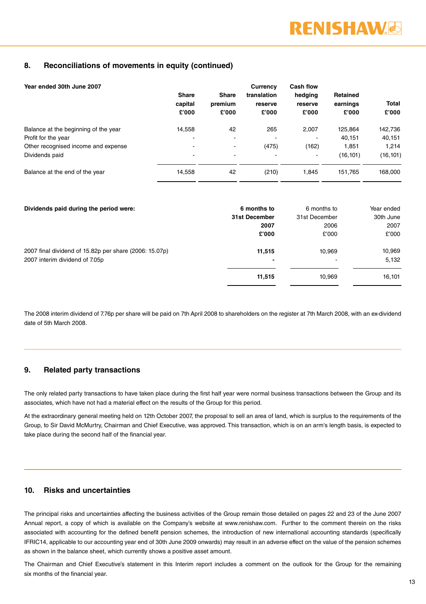#### **8. Reconciliations of movements in equity (continued)**

| Year ended 30th June 2007            | Share<br>capital<br>£'000 | <b>Share</b><br>premium<br>£'000 | Currency<br>translation<br>reserve<br>£'000 | <b>Cash flow</b><br>hedging<br>reserve<br>£'000 | Retained<br>earnings<br>£'000 | Total<br>£'000 |
|--------------------------------------|---------------------------|----------------------------------|---------------------------------------------|-------------------------------------------------|-------------------------------|----------------|
| Balance at the beginning of the year | 14,558                    | 42                               | 265                                         | 2.007                                           | 125.864                       | 142,736        |
| Profit for the year                  | -                         | $\overline{\phantom{a}}$         |                                             |                                                 | 40.151                        | 40,151         |
| Other recognised income and expense  | -                         | $\overline{\phantom{a}}$         | (475)                                       | (162)                                           | 1.851                         | 1.214          |
| Dividends paid                       | -                         | $\overline{a}$                   |                                             | ۰                                               | (16, 101)                     | (16, 101)      |
| Balance at the end of the year       | 14.558                    | 42                               | (210)                                       | 1.845                                           | 151.765                       | 168,000        |

| Dividends paid during the period were:                 | 6 months to   | 6 months to              | Year ended |
|--------------------------------------------------------|---------------|--------------------------|------------|
|                                                        | 31st December | 31st December            | 30th June  |
|                                                        | 2007          | 2006                     | 2007       |
|                                                        | £'000         | £'000                    | £'000      |
| 2007 final dividend of 15.82p per share (2006: 15.07p) | 11,515        | 10.969                   | 10,969     |
| 2007 interim dividend of 7.05p                         |               | $\overline{\phantom{a}}$ | 5,132      |
|                                                        | 11,515        | 10.969                   | 16,101     |

The 2008 interim dividend of 7.76p per share will be paid on 7th April 2008 to shareholders on the register at 7th March 2008, with an ex-dividend date of 5th March 2008.

#### **9. Related party transactions**

The only related party transactions to have taken place during the first half year were normal business transactions between the Group and its associates, which have not had a material effect on the results of the Group for this period.

At the extraordinary general meeting held on 12th October 2007, the proposal to sell an area of land, which is surplus to the requirements of the Group, to Sir David McMurtry, Chairman and Chief Executive, was approved. This transaction, which is on an arm's length basis, is expected to take place during the second half of the financial year.

#### **10. Risks and uncertainties**

The principal risks and uncertainties affecting the business activities of the Group remain those detailed on pages 22 and 23 of the June 2007 Annual report, a copy of which is available on the Company's website at www.renishaw.com. Further to the comment therein on the risks associated with accounting for the defined benefit pension schemes, the introduction of new international accounting standards (specifically IFRIC14, applicable to our accounting year end of 30th June 2009 onwards) may result in an adverse effect on the value of the pension schemes as shown in the balance sheet, which currently shows a positive asset amount.

The Chairman and Chief Executive's statement in this Interim report includes a comment on the outlook for the Group for the remaining six months of the financial year.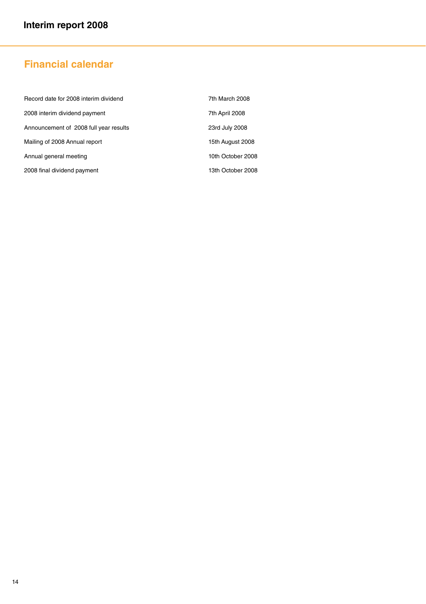## **Financial calendar**

| Record date for 2008 interim dividend  | 7th March 2008    |
|----------------------------------------|-------------------|
| 2008 interim dividend payment          | 7th April 2008    |
| Announcement of 2008 full year results | 23rd July 2008    |
| Mailing of 2008 Annual report          | 15th August 2008  |
| Annual general meeting                 | 10th October 2008 |
| 2008 final dividend payment            | 13th October 2008 |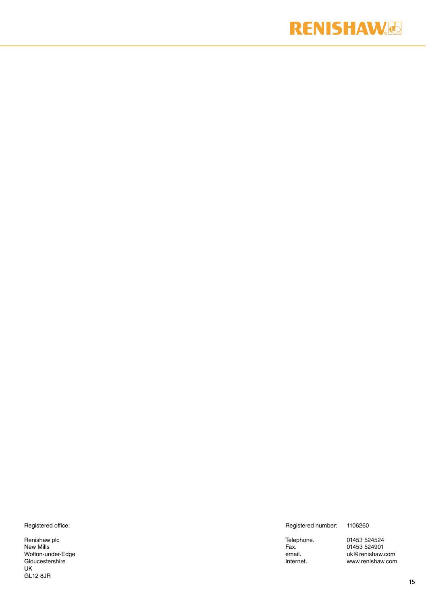## **RENISHAW.**

Registered office:

Renishaw plc New Mills Wotton-under-Edge Gloucestershire UK GL12 8JR

Registered number: 1106260

Telephone. 01453 524524 Fax. 01453 524901 email. uk@renishaw.com Internet. www.renishaw.com